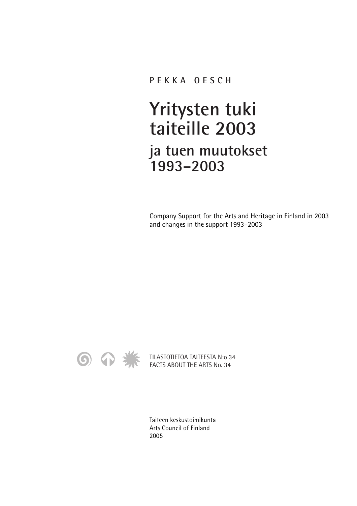## **PEKKA OESCH**

## **Yritysten tuki taiteille 2003 ja tuen muutokset 1993–2003**

Company Support for the Arts and Heritage in Finland in 2003 and changes in the support 1993–2003



TILASTOTIETOA TAITEESTA N:o 34 FACTS ABOUT THE ARTS No. 34

Taiteen keskustoimikunta Arts Council of Finland 2005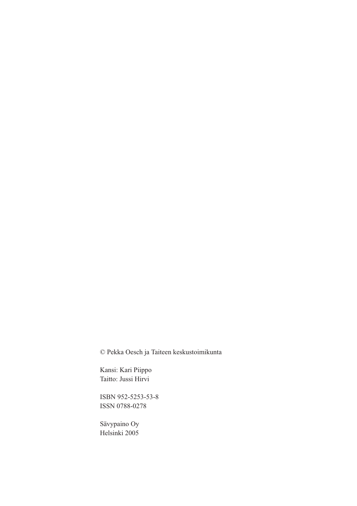© Pekka Oesch ja Taiteen keskustoimikunta

Kansi: Kari Piippo Taitto: Jussi Hirvi

ISBN 952-5253-53-8 ISSN 0788-0278

Sävypaino Oy Helsinki 2005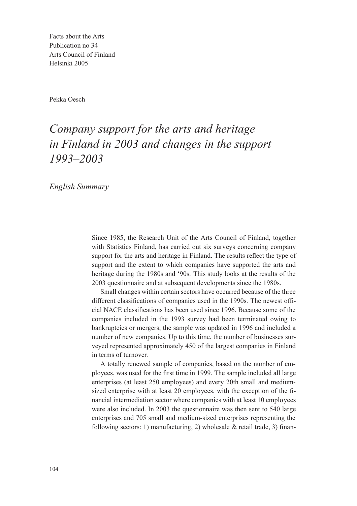Facts about the Arts Publication no 34 Arts Council of Finland Helsinki 2005

Pekka Oesch

## *Company support for the arts and heritage in Finland in 2003 and changes in the support 1993–2003*

*English Summary*

Since 1985, the Research Unit of the Arts Council of Finland, together with Statistics Finland, has carried out six surveys concerning company support for the arts and heritage in Finland. The results reflect the type of support and the extent to which companies have supported the arts and heritage during the 1980s and '90s. This study looks at the results of the 2003 questionnaire and at subsequent developments since the 1980s.

Small changes within certain sectors have occurred because of the three different classifications of companies used in the 1990s. The newest official NACE classifications has been used since 1996. Because some of the companies included in the 1993 survey had been terminated owing to bankruptcies or mergers, the sample was updated in 1996 and included a number of new companies. Up to this time, the number of businesses surveyed represented approximately 450 of the largest companies in Finland in terms of turnover.

A totally renewed sample of companies, based on the number of employees, was used for the first time in 1999. The sample included all large enterprises (at least 250 employees) and every 20th small and mediumsized enterprise with at least 20 employees, with the exception of the financial intermediation sector where companies with at least 10 employees were also included. In 2003 the questionnaire was then sent to 540 large enterprises and 705 small and medium-sized enterprises representing the following sectors: 1) manufacturing, 2) wholesale  $&$  retail trade, 3) finan-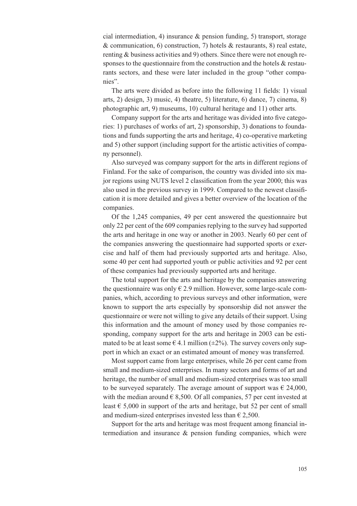cial intermediation, 4) insurance  $\&$  pension funding, 5) transport, storage & communication, 6) construction, 7) hotels & restaurants, 8) real estate, renting & business activities and 9) others. Since there were not enough responses to the questionnaire from the construction and the hotels & restaurants sectors, and these were later included in the group "other companies".

The arts were divided as before into the following 11 fields: 1) visual arts, 2) design, 3) music, 4) theatre, 5) literature, 6) dance, 7) cinema, 8) photographic art, 9) museums, 10) cultural heritage and 11) other arts.

Company support for the arts and heritage was divided into five categories: 1) purchases of works of art, 2) sponsorship, 3) donations to foundations and funds supporting the arts and heritage, 4) co-operative marketing and 5) other support (including support for the artistic activities of company personnel).

Also surveyed was company support for the arts in different regions of Finland. For the sake of comparison, the country was divided into six major regions using NUTS level 2 classification from the year 2000; this was also used in the previous survey in 1999. Compared to the newest classification it is more detailed and gives a better overview of the location of the companies.

Of the 1,245 companies, 49 per cent answered the questionnaire but only 22 per cent of the 609 companies replying to the survey had supported the arts and heritage in one way or another in 2003. Nearly 60 per cent of the companies answering the questionnaire had supported sports or exercise and half of them had previously supported arts and heritage. Also, some 40 per cent had supported youth or public activities and 92 per cent of these companies had previously supported arts and heritage.

The total support for the arts and heritage by the companies answering the questionnaire was only  $\epsilon$  2.9 million. However, some large-scale companies, which, according to previous surveys and other information, were known to support the arts especially by sponsorship did not answer the questionnaire or were not willing to give any details of their support. Using this information and the amount of money used by those companies responding, company support for the arts and heritage in 2003 can be estimated to be at least some  $\epsilon$  4.1 million ( $\pm$ 2%). The survey covers only support in which an exact or an estimated amount of money was transferred.

Most support came from large enterprises, while 26 per cent came from small and medium-sized enterprises. In many sectors and forms of art and heritage, the number of small and medium-sized enterprises was too small to be surveyed separately. The average amount of support was  $\epsilon$  24,000, with the median around  $\in$  8,500. Of all companies, 57 per cent invested at least  $\epsilon$  5,000 in support of the arts and heritage, but 52 per cent of small and medium-sized enterprises invested less than  $\epsilon$  2,500.

Support for the arts and heritage was most frequent among financial intermediation and insurance & pension funding companies, which were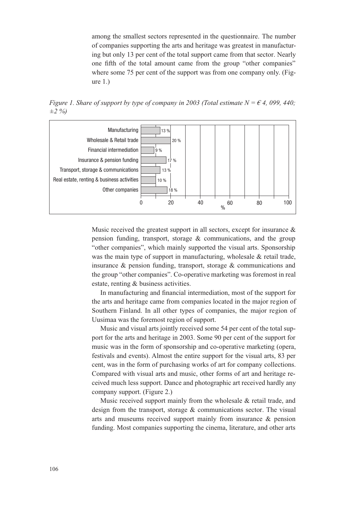among the smallest sectors represented in the questionnaire. The number of companies supporting the arts and heritage was greatest in manufacturing but only 13 per cent of the total support came from that sector. Nearly one fifth of the total amount came from the group "other companies" where some 75 per cent of the support was from one company only. (Figure 1.)

*Figure 1. Share of support by type of company in 2003 (Total estimate N = € 4, 099, 440; ±2 %)*



Music received the greatest support in all sectors, except for insurance  $\&$ pension funding, transport, storage & communications, and the group "other companies", which mainly supported the visual arts. Sponsorship was the main type of support in manufacturing, wholesale & retail trade, insurance & pension funding, transport, storage & communications and the group "other companies". Co-operative marketing was foremost in real estate, renting & business activities.

In manufacturing and financial intermediation, most of the support for the arts and heritage came from companies located in the major region of Southern Finland. In all other types of companies, the major region of Uusimaa was the foremost region of support.

Music and visual arts jointly received some 54 per cent of the total support for the arts and heritage in 2003. Some 90 per cent of the support for music was in the form of sponsorship and co-operative marketing (opera, festivals and events). Almost the entire support for the visual arts, 83 per cent, was in the form of purchasing works of art for company collections. Compared with visual arts and music, other forms of art and heritage received much less support. Dance and photographic art received hardly any company support. (Figure 2.)

Music received support mainly from the wholesale & retail trade, and design from the transport, storage & communications sector. The visual arts and museums received support mainly from insurance & pension funding. Most companies supporting the cinema, literature, and other arts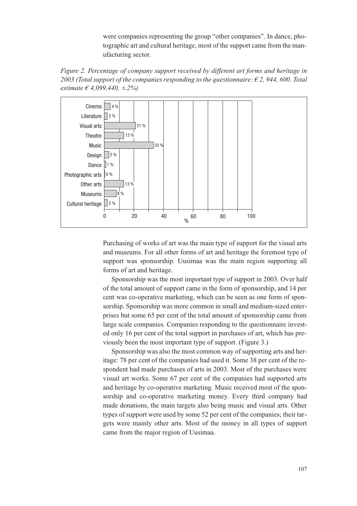were companies representing the group "other companies". In dance, photographic art and cultural heritage, most of the support came from the manufacturing sector.





Purchasing of works of art was the main type of support for the visual arts and museums. For all other forms of art and heritage the foremost type of support was sponsorship. Uusimaa was the main region supporting all forms of art and heritage.

Sponsorship was the most important type of support in 2003. Over half of the total amount of support came in the form of sponsorship, and 14 per cent was co-operative marketing, which can be seen as one form of sponsorship. Sponsorship was more common in small and medium-sized enterprises but some 65 per cent of the total amount of sponsorship came from large scale companies. Companies responding to the questionnaire invested only 16 per cent of the total support in purchases of art, which has previously been the most important type of support. (Figure 3.)

Sponsorship was also the most common way of supporting arts and heritage: 78 per cent of the companies had used it. Some 38 per cent of the respondent had made purchases of arts in 2003. Most of the purchases were visual art works. Some 67 per cent of the companies had supported arts and heritage by co-operative marketing. Music received most of the sponsorship and co-operative marketing money. Every third company had made donations, the main targets also being music and visual arts. Other types of support were used by some 52 per cent of the companies; their targets were mainly other arts. Most of the money in all types of support came from the major region of Uusimaa.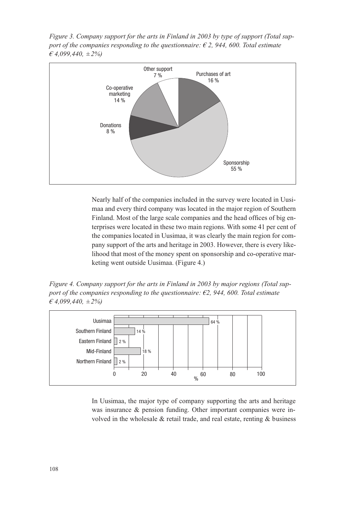*Figure 3. Company support for the arts in Finland in 2003 by type of support (Total support of the companies responding to the questionnaire:*  $\epsilon$  2, 944, 600. Total estimate *€ 4,099,440, ±2%)*



Nearly half of the companies included in the survey were located in Uusimaa and every third company was located in the major region of Southern Finland. Most of the large scale companies and the head offices of big enterprises were located in these two main regions. With some 41 per cent of the companies located in Uusimaa, it was clearly the main region for company support of the arts and heritage in 2003. However, there is every likelihood that most of the money spent on sponsorship and co-operative marketing went outside Uusimaa. (Figure 4.)

*Figure 4. Company support for the arts in Finland in 2003 by major regions (Total support of the companies responding to the questionnaire: €2, 944, 600. Total estimate € 4,099,440, ±2%)*



In Uusimaa, the major type of company supporting the arts and heritage was insurance & pension funding. Other important companies were involved in the wholesale & retail trade, and real estate, renting & business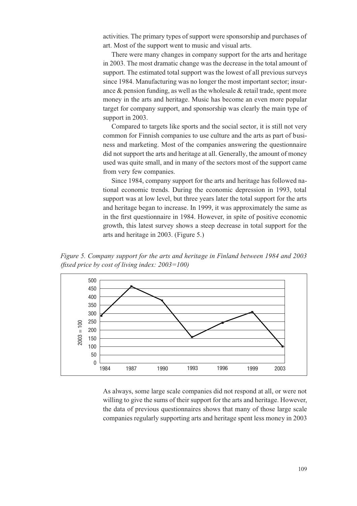activities. The primary types of support were sponsorship and purchases of art. Most of the support went to music and visual arts.

There were many changes in company support for the arts and heritage in 2003. The most dramatic change was the decrease in the total amount of support. The estimated total support was the lowest of all previous surveys since 1984. Manufacturing was no longer the most important sector; insurance & pension funding, as well as the wholesale & retail trade, spent more money in the arts and heritage. Music has become an even more popular target for company support, and sponsorship was clearly the main type of support in 2003.

Compared to targets like sports and the social sector, it is still not very common for Finnish companies to use culture and the arts as part of business and marketing. Most of the companies answering the questionnaire did not support the arts and heritage at all. Generally, the amount of money used was quite small, and in many of the sectors most of the support came from very few companies.

Since 1984, company support for the arts and heritage has followed national economic trends. During the economic depression in 1993, total support was at low level, but three years later the total support for the arts and heritage began to increase. In 1999, it was approximately the same as in the first questionnaire in 1984. However, in spite of positive economic growth, this latest survey shows a steep decrease in total support for the arts and heritage in 2003. (Figure 5.)

*Figure 5. Company support for the arts and heritage in Finland between 1984 and 2003 (fixed price by cost of living index: 2003=100)*



As always, some large scale companies did not respond at all, or were not willing to give the sums of their support for the arts and heritage. However, the data of previous questionnaires shows that many of those large scale companies regularly supporting arts and heritage spent less money in 2003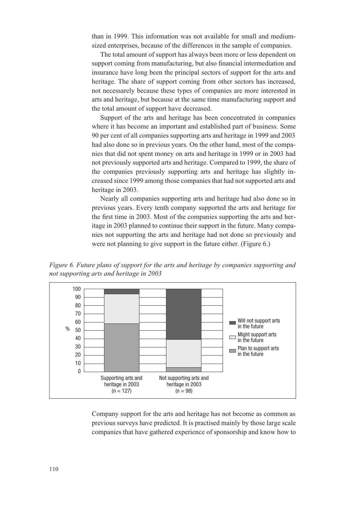than in 1999. This information was not available for small and mediumsized enterprises, because of the differences in the sample of companies.

The total amount of support has always been more or less dependent on support coming from manufacturing, but also financial intermediation and insurance have long been the principal sectors of support for the arts and heritage. The share of support coming from other sectors has increased, not necessarely because these types of companies are more interested in arts and heritage, but because at the same time manufacturing support and the total amount of support have decreased.

Support of the arts and heritage has been concentrated in companies where it has become an important and established part of business. Some 90 per cent of all companies supporting arts and heritage in 1999 and 2003 had also done so in previous years. On the other hand, most of the companies that did not spent money on arts and heritage in 1999 or in 2003 had not previously supported arts and heritage. Compared to 1999, the share of the companies previously supporting arts and heritage has slightly increased since 1999 among those companies that had not supported arts and heritage in 2003.

Nearly all companies supporting arts and heritage had also done so in previous years. Every tenth company supported the arts and heritage for the first time in 2003. Most of the companies supporting the arts and heritage in 2003 planned to continue their support in the future. Many companies not supporting the arts and heritage had not done so previously and were not planning to give support in the future either. (Figure 6.)

*Figure 6. Future plans of support for the arts and heritage by companies supporting and not supporting arts and heritage in 2003*



Company support for the arts and heritage has not become as common as previous surveys have predicted. It is practised mainly by those large scale companies that have gathered experience of sponsorship and know how to